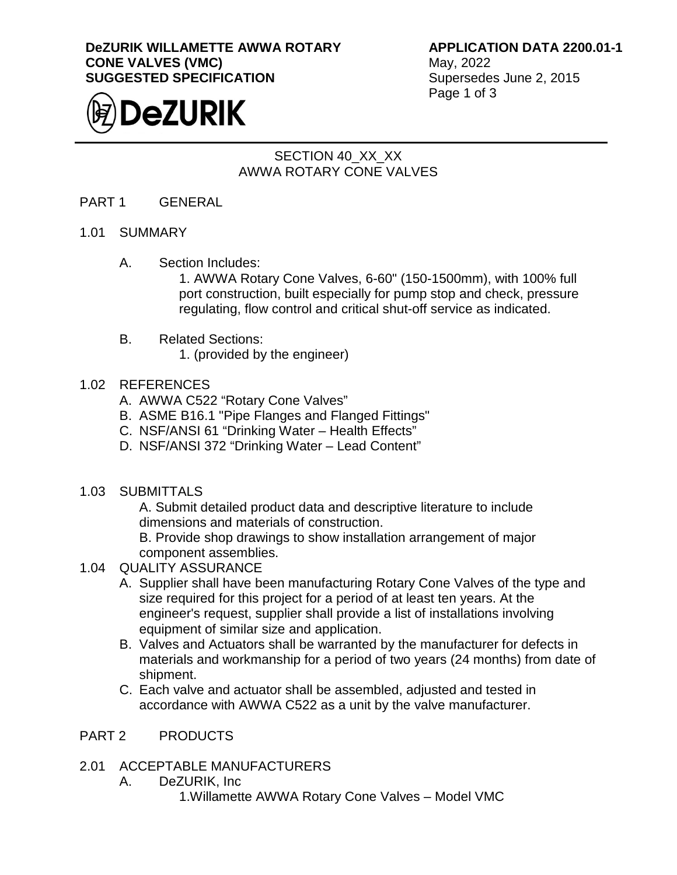#### **DeZURIK WILLAMETTE AWWA ROTARY CONE VALVES (VMC) SUGGESTED SPECIFICATION**



**APPLICATION DATA 2200.01-1**

May, 2022 Supersedes June 2, 2015 Page 1 of 3

# SECTION 40\_XX\_XX AWWA ROTARY CONE VALVES

#### PART 1 GENERAL

- 1.01 SUMMARY
	- A. Section Includes:

1. AWWA Rotary Cone Valves, 6-60" (150-1500mm), with 100% full port construction, built especially for pump stop and check, pressure regulating, flow control and critical shut-off service as indicated.

#### B. Related Sections:

1. (provided by the engineer)

### 1.02 REFERENCES

- A. AWWA C522 "Rotary Cone Valves"
- B. ASME B16.1 "Pipe Flanges and Flanged Fittings"
- C. NSF/ANSI 61 "Drinking Water Health Effects"
- D. NSF/ANSI 372 "Drinking Water Lead Content"
- 1.03 SUBMITTALS

A. Submit detailed product data and descriptive literature to include dimensions and materials of construction.

B. Provide shop drawings to show installation arrangement of major component assemblies.

## 1.04 QUALITY ASSURANCE

- A. Supplier shall have been manufacturing Rotary Cone Valves of the type and size required for this project for a period of at least ten years. At the engineer's request, supplier shall provide a list of installations involving equipment of similar size and application.
- B. Valves and Actuators shall be warranted by the manufacturer for defects in materials and workmanship for a period of two years (24 months) from date of shipment.
- C. Each valve and actuator shall be assembled, adjusted and tested in accordance with AWWA C522 as a unit by the valve manufacturer.

## PART 2 PRODUCTS

## 2.01 ACCEPTABLE MANUFACTURERS

- A. DeZURIK, Inc
	- 1.Willamette AWWA Rotary Cone Valves Model VMC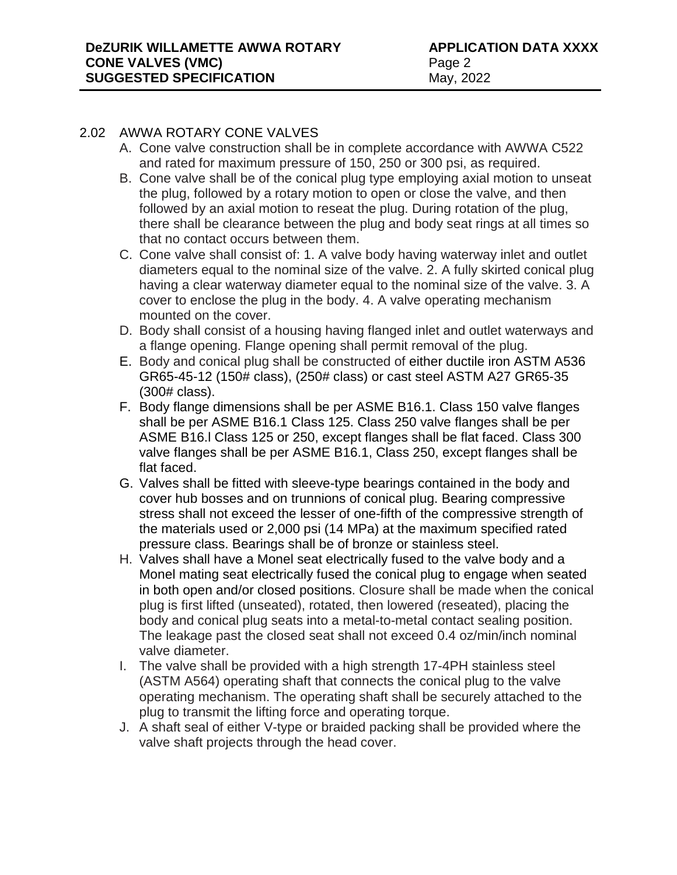#### 2.02 AWWA ROTARY CONE VALVES

- A. Cone valve construction shall be in complete accordance with AWWA C522 and rated for maximum pressure of 150, 250 or 300 psi, as required.
- B. Cone valve shall be of the conical plug type employing axial motion to unseat the plug, followed by a rotary motion to open or close the valve, and then followed by an axial motion to reseat the plug. During rotation of the plug, there shall be clearance between the plug and body seat rings at all times so that no contact occurs between them.
- C. Cone valve shall consist of: 1. A valve body having waterway inlet and outlet diameters equal to the nominal size of the valve. 2. A fully skirted conical plug having a clear waterway diameter equal to the nominal size of the valve. 3. A cover to enclose the plug in the body. 4. A valve operating mechanism mounted on the cover.
- D. Body shall consist of a housing having flanged inlet and outlet waterways and a flange opening. Flange opening shall permit removal of the plug.
- E. Body and conical plug shall be constructed of either ductile iron ASTM A536 GR65-45-12 (150# class), (250# class) or cast steel ASTM A27 GR65-35 (300# class).
- F. Body flange dimensions shall be per ASME B16.1. Class 150 valve flanges shall be per ASME B16.1 Class 125. Class 250 valve flanges shall be per ASME B16.l Class 125 or 250, except flanges shall be flat faced. Class 300 valve flanges shall be per ASME B16.1, Class 250, except flanges shall be flat faced.
- G. Valves shall be fitted with sleeve-type bearings contained in the body and cover hub bosses and on trunnions of conical plug. Bearing compressive stress shall not exceed the lesser of one-fifth of the compressive strength of the materials used or 2,000 psi (14 MPa) at the maximum specified rated pressure class. Bearings shall be of bronze or stainless steel.
- H. Valves shall have a Monel seat electrically fused to the valve body and a Monel mating seat electrically fused the conical plug to engage when seated in both open and/or closed positions. Closure shall be made when the conical plug is first lifted (unseated), rotated, then lowered (reseated), placing the body and conical plug seats into a metal-to-metal contact sealing position. The leakage past the closed seat shall not exceed 0.4 oz/min/inch nominal valve diameter.
- I. The valve shall be provided with a high strength 17-4PH stainless steel (ASTM A564) operating shaft that connects the conical plug to the valve operating mechanism. The operating shaft shall be securely attached to the plug to transmit the lifting force and operating torque.
- J. A shaft seal of either V-type or braided packing shall be provided where the valve shaft projects through the head cover.